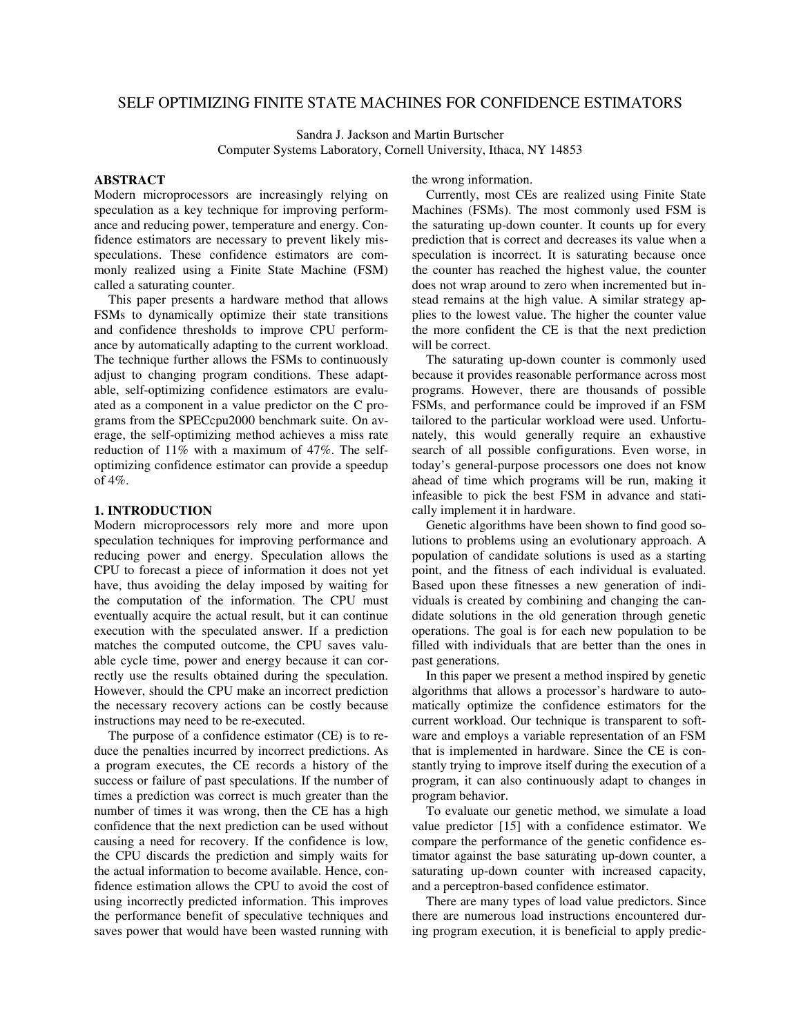# SELF OPTIMIZING FINITE STATE MACHINES FOR CONFIDENCE ESTIMATORS

Sandra J. Jackson and Martin Burtscher Computer Systems Laboratory, Cornell University, Ithaca, NY 14853

# **ABSTRACT**

Modern microprocessors are increasingly relying on speculation as a key technique for improving performance and reducing power, temperature and energy. Confidence estimators are necessary to prevent likely misspeculations. These confidence estimators are commonly realized using a Finite State Machine (FSM) called a saturating counter.

This paper presents a hardware method that allows FSMs to dynamically optimize their state transitions and confidence thresholds to improve CPU performance by automatically adapting to the current workload. The technique further allows the FSMs to continuously adjust to changing program conditions. These adaptable, self-optimizing confidence estimators are evaluated as a component in a value predictor on the C programs from the SPECcpu2000 benchmark suite. On average, the self-optimizing method achieves a miss rate reduction of 11% with a maximum of 47%. The selfoptimizing confidence estimator can provide a speedup of 4%.

## **1. INTRODUCTION**

Modern microprocessors rely more and more upon speculation techniques for improving performance and reducing power and energy. Speculation allows the CPU to forecast a piece of information it does not yet have, thus avoiding the delay imposed by waiting for the computation of the information. The CPU must eventually acquire the actual result, but it can continue execution with the speculated answer. If a prediction matches the computed outcome, the CPU saves valuable cycle time, power and energy because it can correctly use the results obtained during the speculation. However, should the CPU make an incorrect prediction the necessary recovery actions can be costly because instructions may need to be re-executed.

The purpose of a confidence estimator (CE) is to reduce the penalties incurred by incorrect predictions. As a program executes, the CE records a history of the success or failure of past speculations. If the number of times a prediction was correct is much greater than the number of times it was wrong, then the CE has a high confidence that the next prediction can be used without causing a need for recovery. If the confidence is low, the CPU discards the prediction and simply waits for the actual information to become available. Hence, confidence estimation allows the CPU to avoid the cost of using incorrectly predicted information. This improves the performance benefit of speculative techniques and saves power that would have been wasted running with

the wrong information.

Currently, most CEs are realized using Finite State Machines (FSMs). The most commonly used FSM is the saturating up-down counter. It counts up for every prediction that is correct and decreases its value when a speculation is incorrect. It is saturating because once the counter has reached the highest value, the counter does not wrap around to zero when incremented but instead remains at the high value. A similar strategy applies to the lowest value. The higher the counter value the more confident the CE is that the next prediction will be correct.

The saturating up-down counter is commonly used because it provides reasonable performance across most programs. However, there are thousands of possible FSMs, and performance could be improved if an FSM tailored to the particular workload were used. Unfortunately, this would generally require an exhaustive search of all possible configurations. Even worse, in today's general-purpose processors one does not know ahead of time which programs will be run, making it infeasible to pick the best FSM in advance and statically implement it in hardware.

Genetic algorithms have been shown to find good solutions to problems using an evolutionary approach. A population of candidate solutions is used as a starting point, and the fitness of each individual is evaluated. Based upon these fitnesses a new generation of individuals is created by combining and changing the candidate solutions in the old generation through genetic operations. The goal is for each new population to be filled with individuals that are better than the ones in past generations.

In this paper we present a method inspired by genetic algorithms that allows a processor's hardware to automatically optimize the confidence estimators for the current workload. Our technique is transparent to software and employs a variable representation of an FSM that is implemented in hardware. Since the CE is constantly trying to improve itself during the execution of a program, it can also continuously adapt to changes in program behavior.

To evaluate our genetic method, we simulate a load value predictor [15] with a confidence estimator. We compare the performance of the genetic confidence estimator against the base saturating up-down counter, a saturating up-down counter with increased capacity, and a perceptron-based confidence estimator.

There are many types of load value predictors. Since there are numerous load instructions encountered during program execution, it is beneficial to apply predic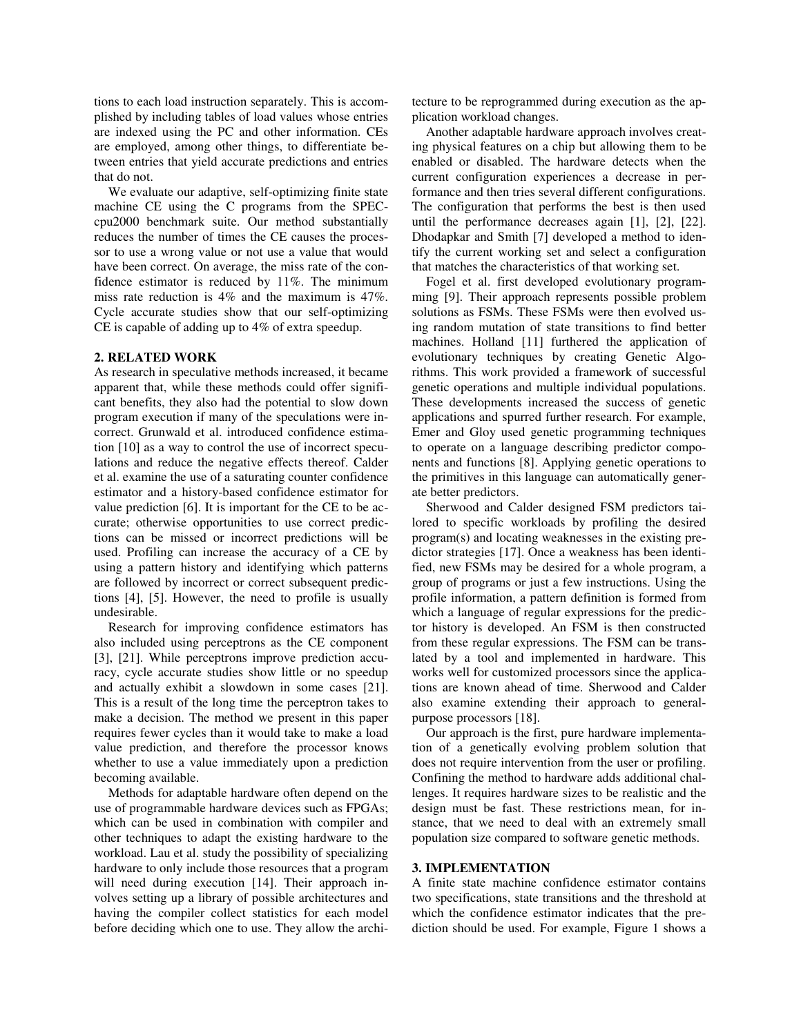tions to each load instruction separately. This is accomplished by including tables of load values whose entries are indexed using the PC and other information. CEs are employed, among other things, to differentiate between entries that yield accurate predictions and entries that do not.

We evaluate our adaptive, self-optimizing finite state machine CE using the C programs from the SPECcpu2000 benchmark suite. Our method substantially reduces the number of times the CE causes the processor to use a wrong value or not use a value that would have been correct. On average, the miss rate of the confidence estimator is reduced by 11%. The minimum miss rate reduction is 4% and the maximum is 47%. Cycle accurate studies show that our self-optimizing CE is capable of adding up to 4% of extra speedup.

#### **2. RELATED WORK**

As research in speculative methods increased, it became apparent that, while these methods could offer significant benefits, they also had the potential to slow down program execution if many of the speculations were incorrect. Grunwald et al. introduced confidence estimation [10] as a way to control the use of incorrect speculations and reduce the negative effects thereof. Calder et al. examine the use of a saturating counter confidence estimator and a history-based confidence estimator for value prediction [6]. It is important for the CE to be accurate; otherwise opportunities to use correct predictions can be missed or incorrect predictions will be used. Profiling can increase the accuracy of a CE by using a pattern history and identifying which patterns are followed by incorrect or correct subsequent predictions [4], [5]. However, the need to profile is usually undesirable.

Research for improving confidence estimators has also included using perceptrons as the CE component [3], [21]. While perceptrons improve prediction accuracy, cycle accurate studies show little or no speedup and actually exhibit a slowdown in some cases [21]. This is a result of the long time the perceptron takes to make a decision. The method we present in this paper requires fewer cycles than it would take to make a load value prediction, and therefore the processor knows whether to use a value immediately upon a prediction becoming available.

Methods for adaptable hardware often depend on the use of programmable hardware devices such as FPGAs; which can be used in combination with compiler and other techniques to adapt the existing hardware to the workload. Lau et al. study the possibility of specializing hardware to only include those resources that a program will need during execution [14]. Their approach involves setting up a library of possible architectures and having the compiler collect statistics for each model before deciding which one to use. They allow the architecture to be reprogrammed during execution as the application workload changes.

Another adaptable hardware approach involves creating physical features on a chip but allowing them to be enabled or disabled. The hardware detects when the current configuration experiences a decrease in performance and then tries several different configurations. The configuration that performs the best is then used until the performance decreases again [1], [2], [22]. Dhodapkar and Smith [7] developed a method to identify the current working set and select a configuration that matches the characteristics of that working set.

Fogel et al. first developed evolutionary programming [9]. Their approach represents possible problem solutions as FSMs. These FSMs were then evolved using random mutation of state transitions to find better machines. Holland [11] furthered the application of evolutionary techniques by creating Genetic Algorithms. This work provided a framework of successful genetic operations and multiple individual populations. These developments increased the success of genetic applications and spurred further research. For example, Emer and Gloy used genetic programming techniques to operate on a language describing predictor components and functions [8]. Applying genetic operations to the primitives in this language can automatically generate better predictors.

Sherwood and Calder designed FSM predictors tailored to specific workloads by profiling the desired program(s) and locating weaknesses in the existing predictor strategies [17]. Once a weakness has been identified, new FSMs may be desired for a whole program, a group of programs or just a few instructions. Using the profile information, a pattern definition is formed from which a language of regular expressions for the predictor history is developed. An FSM is then constructed from these regular expressions. The FSM can be translated by a tool and implemented in hardware. This works well for customized processors since the applications are known ahead of time. Sherwood and Calder also examine extending their approach to generalpurpose processors [18].

Our approach is the first, pure hardware implementation of a genetically evolving problem solution that does not require intervention from the user or profiling. Confining the method to hardware adds additional challenges. It requires hardware sizes to be realistic and the design must be fast. These restrictions mean, for instance, that we need to deal with an extremely small population size compared to software genetic methods.

#### **3. IMPLEMENTATION**

A finite state machine confidence estimator contains two specifications, state transitions and the threshold at which the confidence estimator indicates that the prediction should be used. For example, Figure 1 shows a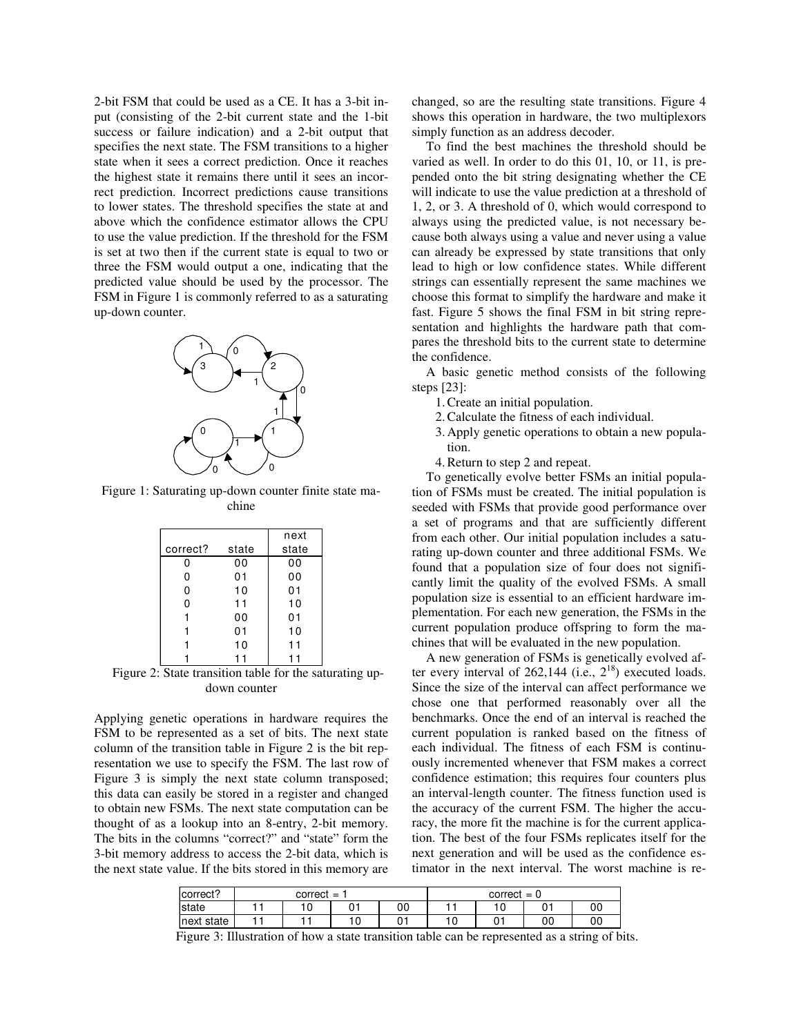2-bit FSM that could be used as a CE. It has a 3-bit input (consisting of the 2-bit current state and the 1-bit success or failure indication) and a 2-bit output that specifies the next state. The FSM transitions to a higher state when it sees a correct prediction. Once it reaches the highest state it remains there until it sees an incorrect prediction. Incorrect predictions cause transitions to lower states. The threshold specifies the state at and above which the confidence estimator allows the CPU to use the value prediction. If the threshold for the FSM is set at two then if the current state is equal to two or three the FSM would output a one, indicating that the predicted value should be used by the processor. The FSM in Figure 1 is commonly referred to as a saturating up-down counter.



Figure 1: Saturating up-down counter finite state machine

|          |       | next  |
|----------|-------|-------|
| correct? | state | state |
| ი        | 00    | 00    |
| 0        | 01    | 00    |
| 0        | 10    | 01    |
| 0        | 11    | 10    |
|          | 00    | 01    |
|          | 01    | 10    |
|          | 10    | 11    |
|          |       |       |

Figure 2: State transition table for the saturating updown counter

Applying genetic operations in hardware requires the FSM to be represented as a set of bits. The next state column of the transition table in Figure 2 is the bit representation we use to specify the FSM. The last row of Figure 3 is simply the next state column transposed; this data can easily be stored in a register and changed to obtain new FSMs. The next state computation can be thought of as a lookup into an 8-entry, 2-bit memory. The bits in the columns "correct?" and "state" form the 3-bit memory address to access the 2-bit data, which is the next state value. If the bits stored in this memory are changed, so are the resulting state transitions. Figure 4 shows this operation in hardware, the two multiplexors simply function as an address decoder.

To find the best machines the threshold should be varied as well. In order to do this 01, 10, or 11, is prepended onto the bit string designating whether the CE will indicate to use the value prediction at a threshold of 1, 2, or 3. A threshold of 0, which would correspond to always using the predicted value, is not necessary because both always using a value and never using a value can already be expressed by state transitions that only lead to high or low confidence states. While different strings can essentially represent the same machines we choose this format to simplify the hardware and make it fast. Figure 5 shows the final FSM in bit string representation and highlights the hardware path that compares the threshold bits to the current state to determine the confidence.

A basic genetic method consists of the following steps [23]:

- 1. Create an initial population.
- 2. Calculate the fitness of each individual.
- 3. Apply genetic operations to obtain a new population.
- 4. Return to step 2 and repeat.

To genetically evolve better FSMs an initial population of FSMs must be created. The initial population is seeded with FSMs that provide good performance over a set of programs and that are sufficiently different from each other. Our initial population includes a saturating up-down counter and three additional FSMs. We found that a population size of four does not significantly limit the quality of the evolved FSMs. A small population size is essential to an efficient hardware implementation. For each new generation, the FSMs in the current population produce offspring to form the machines that will be evaluated in the new population.

A new generation of FSMs is genetically evolved after every interval of 262,144 (i.e.,  $2^{18}$ ) executed loads. Since the size of the interval can affect performance we chose one that performed reasonably over all the benchmarks. Once the end of an interval is reached the current population is ranked based on the fitness of each individual. The fitness of each FSM is continuously incremented whenever that FSM makes a correct confidence estimation; this requires four counters plus an interval-length counter. The fitness function used is the accuracy of the current FSM. The higher the accuracy, the more fit the machine is for the current application. The best of the four FSMs replicates itself for the next generation and will be used as the confidence estimator in the next interval. The worst machine is re-

| correct?   | correct<br>$=$ |   |     | correct<br>$=$<br>л. |     |    |         |    |
|------------|----------------|---|-----|----------------------|-----|----|---------|----|
| state      |                | ◡ |     | 00                   |     | ۱0 | ∩.<br>ັ | 00 |
| next state |                |   | ' 0 |                      | . ب |    | 00      | 0C |

Figure 3: Illustration of how a state transition table can be represented as a string of bits.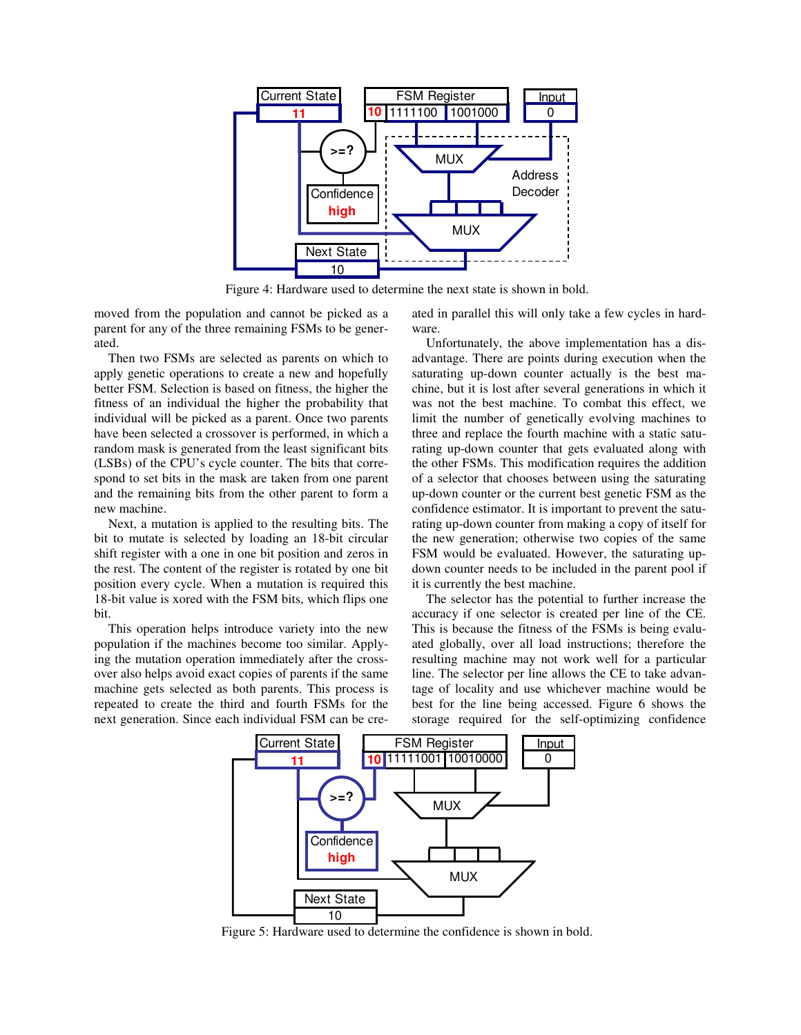

Figure 4: Hardware used to determine the next state is shown in bold.

moved from the population and cannot be picked as a parent for any of the three remaining FSMs to be generated.

Then two FSMs are selected as parents on which to apply genetic operations to create a new and hopefully better FSM. Selection is based on fitness, the higher the fitness of an individual the higher the probability that individual will be picked as a parent. Once two parents have been selected a crossover is performed, in which a random mask is generated from the least significant bits (LSBs) of the CPU's cycle counter. The bits that correspond to set bits in the mask are taken from one parent and the remaining bits from the other parent to form a new machine.

Next, a mutation is applied to the resulting bits. The bit to mutate is selected by loading an 18-bit circular shift register with a one in one bit position and zeros in the rest. The content of the register is rotated by one bit position every cycle. When a mutation is required this 18-bit value is xored with the FSM bits, which flips one bit.

This operation helps introduce variety into the new population if the machines become too similar. Applying the mutation operation immediately after the crossover also helps avoid exact copies of parents if the same machine gets selected as both parents. This process is repeated to create the third and fourth FSMs for the next generation. Since each individual FSM can be created in parallel this will only take a few cycles in hardware.

Unfortunately, the above implementation has a disadvantage. There are points during execution when the saturating up-down counter actually is the best machine, but it is lost after several generations in which it was not the best machine. To combat this effect, we limit the number of genetically evolving machines to three and replace the fourth machine with a static saturating up-down counter that gets evaluated along with the other FSMs. This modification requires the addition of a selector that chooses between using the saturating up-down counter or the current best genetic FSM as the confidence estimator. It is important to prevent the saturating up-down counter from making a copy of itself for the new generation; otherwise two copies of the same FSM would be evaluated. However, the saturating updown counter needs to be included in the parent pool if it is currently the best machine.

The selector has the potential to further increase the accuracy if one selector is created per line of the CE. This is because the fitness of the FSMs is being evaluated globally, over all load instructions; therefore the resulting machine may not work well for a particular line. The selector per line allows the CE to take advantage of locality and use whichever machine would be best for the line being accessed. Figure 6 shows the storage required for the self-optimizing confidence



Figure 5: Hardware used to determine the confidence is shown in bold.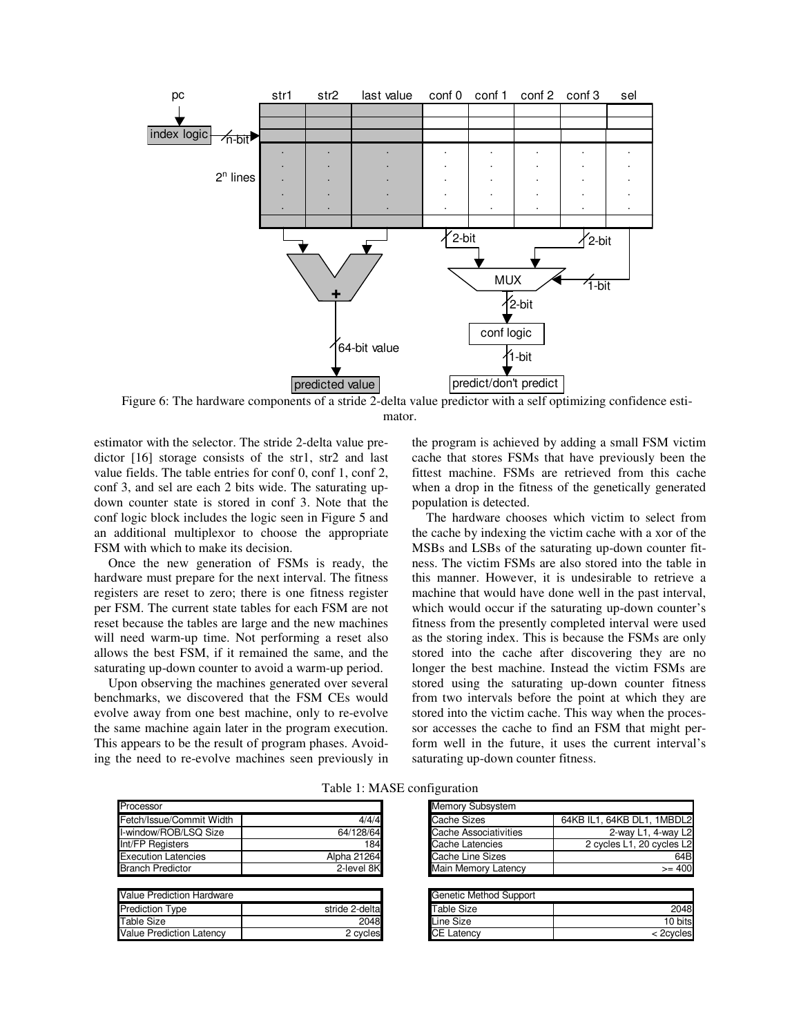

Figure 6: The hardware components of a stride 2-delta value predictor with a self optimizing confidence estimator.

estimator with the selector. The stride 2-delta value predictor [16] storage consists of the str1, str2 and last value fields. The table entries for conf 0, conf 1, conf 2, conf 3, and sel are each 2 bits wide. The saturating updown counter state is stored in conf 3. Note that the conf logic block includes the logic seen in Figure 5 and an additional multiplexor to choose the appropriate FSM with which to make its decision.

Once the new generation of FSMs is ready, the hardware must prepare for the next interval. The fitness registers are reset to zero; there is one fitness register per FSM. The current state tables for each FSM are not reset because the tables are large and the new machines will need warm-up time. Not performing a reset also allows the best FSM, if it remained the same, and the saturating up-down counter to avoid a warm-up period.

Upon observing the machines generated over several benchmarks, we discovered that the FSM CEs would evolve away from one best machine, only to re-evolve the same machine again later in the program execution. This appears to be the result of program phases. Avoiding the need to re-evolve machines seen previously in the program is achieved by adding a small FSM victim cache that stores FSMs that have previously been the fittest machine. FSMs are retrieved from this cache when a drop in the fitness of the genetically generated population is detected.

The hardware chooses which victim to select from the cache by indexing the victim cache with a xor of the MSBs and LSBs of the saturating up-down counter fitness. The victim FSMs are also stored into the table in this manner. However, it is undesirable to retrieve a machine that would have done well in the past interval, which would occur if the saturating up-down counter's fitness from the presently completed interval were used as the storing index. This is because the FSMs are only stored into the cache after discovering they are no longer the best machine. Instead the victim FSMs are stored using the saturating up-down counter fitness from two intervals before the point at which they are stored into the victim cache. This way when the processor accesses the cache to find an FSM that might perform well in the future, it uses the current interval's saturating up-down counter fitness.

|                                  |                | .                      |
|----------------------------------|----------------|------------------------|
| Fetch/Issue/Commit Width         | 4/4/4          | Cache Sizes            |
| I-window/ROB/LSQ Size            | 64/128/64      | Cache Associativities  |
| Int/FP Registers                 | 184            | Cache Latencies        |
| <b>Execution Latencies</b>       | Alpha 21264    | Cache Line Sizes       |
| <b>Branch Predictor</b>          | 2-level 8K     | Main Memory Latency    |
|                                  |                |                        |
| <b>Value Prediction Hardware</b> |                | Genetic Method Support |
| <b>Prediction Type</b>           | stride 2-delta | <b>Table Size</b>      |
| Table Size                       | 2048           | Line Size              |
| <b>Value Prediction Latency</b>  | 2 cycles       | <b>CE Latency</b>      |
|                                  |                |                        |

Table 1: MASE configuration

| Processor                  |             | <b>Memory Subsystem</b> |                            |
|----------------------------|-------------|-------------------------|----------------------------|
| Fetch/Issue/Commit Width   | 4/4/4       | Cache Sizes             | 64KB IL1, 64KB DL1, 1MBDL2 |
| l-window/ROB/LSO Size      | 64/128/64   | Cache Associativities   | 2-way L1, 4-way L2         |
| Int/FP Registers           | 184         | Cache Latencies         | 2 cycles L1, 20 cycles L2  |
| <b>Execution Latencies</b> | Alpha 21264 | Cache Line Sizes        | 64B                        |
| <b>Branch Predictor</b>    | 2-level 8K  | Main Memory Latency     | $>= 400$                   |

| Value Prediction Hardware |                | Genetic Method Support |         |
|---------------------------|----------------|------------------------|---------|
| Prediction Tvpe           | stride 2-delta | Table Size             | 2048    |
| Table Size                | 2048           | Line Size              | 10 bits |
| Value Prediction Latencv  | 2 cycles       | <b>CE Latency</b>      | 2cvcles |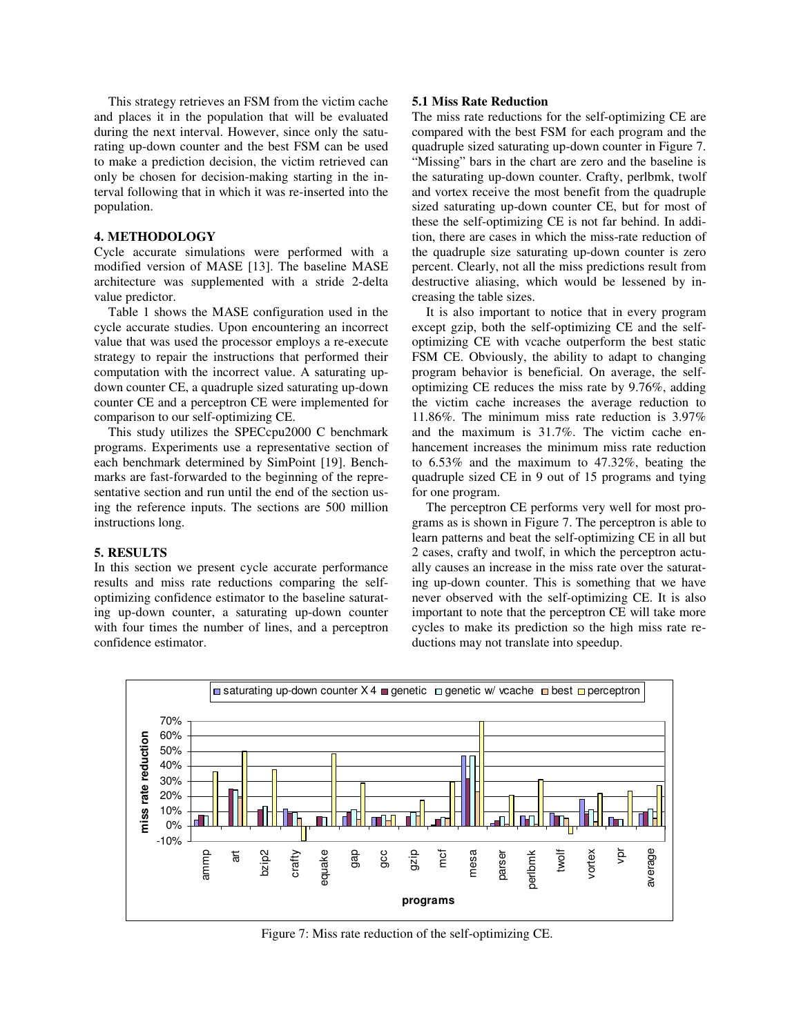This strategy retrieves an FSM from the victim cache and places it in the population that will be evaluated during the next interval. However, since only the saturating up-down counter and the best FSM can be used to make a prediction decision, the victim retrieved can only be chosen for decision-making starting in the interval following that in which it was re-inserted into the population.

# **4. METHODOLOGY**

Cycle accurate simulations were performed with a modified version of MASE [13]. The baseline MASE architecture was supplemented with a stride 2-delta value predictor.

Table 1 shows the MASE configuration used in the cycle accurate studies. Upon encountering an incorrect value that was used the processor employs a re-execute strategy to repair the instructions that performed their computation with the incorrect value. A saturating updown counter CE, a quadruple sized saturating up-down counter CE and a perceptron CE were implemented for comparison to our self-optimizing CE.

This study utilizes the SPECcpu2000 C benchmark programs. Experiments use a representative section of each benchmark determined by SimPoint [19]. Benchmarks are fast-forwarded to the beginning of the representative section and run until the end of the section using the reference inputs. The sections are 500 million instructions long.

#### **5. RESULTS**

In this section we present cycle accurate performance results and miss rate reductions comparing the selfoptimizing confidence estimator to the baseline saturating up-down counter, a saturating up-down counter with four times the number of lines, and a perceptron confidence estimator.

## **5.1 Miss Rate Reduction**

The miss rate reductions for the self-optimizing CE are compared with the best FSM for each program and the quadruple sized saturating up-down counter in Figure 7. "Missing" bars in the chart are zero and the baseline is the saturating up-down counter. Crafty, perlbmk, twolf and vortex receive the most benefit from the quadruple sized saturating up-down counter CE, but for most of these the self-optimizing CE is not far behind. In addition, there are cases in which the miss-rate reduction of the quadruple size saturating up-down counter is zero percent. Clearly, not all the miss predictions result from destructive aliasing, which would be lessened by increasing the table sizes.

It is also important to notice that in every program except gzip, both the self-optimizing CE and the selfoptimizing CE with vcache outperform the best static FSM CE. Obviously, the ability to adapt to changing program behavior is beneficial. On average, the selfoptimizing CE reduces the miss rate by 9.76%, adding the victim cache increases the average reduction to 11.86%. The minimum miss rate reduction is 3.97% and the maximum is 31.7%. The victim cache enhancement increases the minimum miss rate reduction to 6.53% and the maximum to 47.32%, beating the quadruple sized CE in 9 out of 15 programs and tying for one program.

The perceptron CE performs very well for most programs as is shown in Figure 7. The perceptron is able to learn patterns and beat the self-optimizing CE in all but 2 cases, crafty and twolf, in which the perceptron actually causes an increase in the miss rate over the saturating up-down counter. This is something that we have never observed with the self-optimizing CE. It is also important to note that the perceptron CE will take more cycles to make its prediction so the high miss rate reductions may not translate into speedup.



Figure 7: Miss rate reduction of the self-optimizing CE.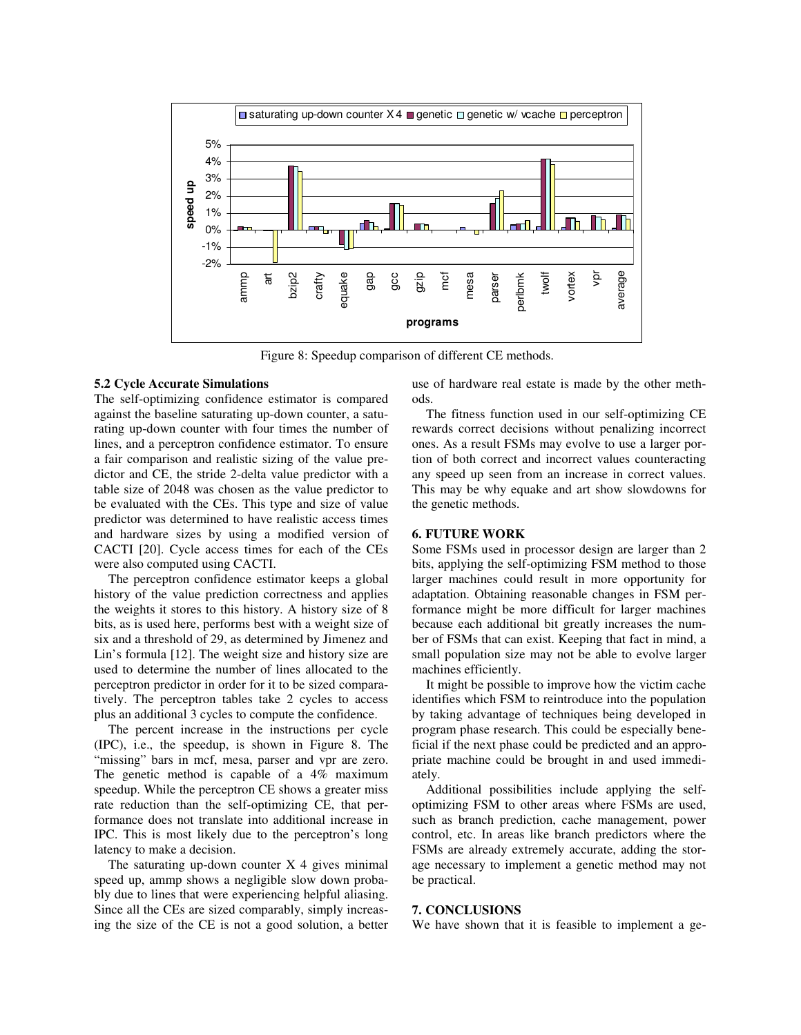

Figure 8: Speedup comparison of different CE methods.

### **5.2 Cycle Accurate Simulations**

The self-optimizing confidence estimator is compared against the baseline saturating up-down counter, a saturating up-down counter with four times the number of lines, and a perceptron confidence estimator. To ensure a fair comparison and realistic sizing of the value predictor and CE, the stride 2-delta value predictor with a table size of 2048 was chosen as the value predictor to be evaluated with the CEs. This type and size of value predictor was determined to have realistic access times and hardware sizes by using a modified version of CACTI [20]. Cycle access times for each of the CEs were also computed using CACTI.

The perceptron confidence estimator keeps a global history of the value prediction correctness and applies the weights it stores to this history. A history size of 8 bits, as is used here, performs best with a weight size of six and a threshold of 29, as determined by Jimenez and Lin's formula [12]. The weight size and history size are used to determine the number of lines allocated to the perceptron predictor in order for it to be sized comparatively. The perceptron tables take 2 cycles to access plus an additional 3 cycles to compute the confidence.

The percent increase in the instructions per cycle (IPC), i.e., the speedup, is shown in Figure 8. The "missing" bars in mcf, mesa, parser and vpr are zero. The genetic method is capable of a 4% maximum speedup. While the perceptron CE shows a greater miss rate reduction than the self-optimizing CE, that performance does not translate into additional increase in IPC. This is most likely due to the perceptron's long latency to make a decision.

The saturating up-down counter  $X$  4 gives minimal speed up, ammp shows a negligible slow down probably due to lines that were experiencing helpful aliasing. Since all the CEs are sized comparably, simply increasing the size of the CE is not a good solution, a better use of hardware real estate is made by the other methods.

The fitness function used in our self-optimizing CE rewards correct decisions without penalizing incorrect ones. As a result FSMs may evolve to use a larger portion of both correct and incorrect values counteracting any speed up seen from an increase in correct values. This may be why equake and art show slowdowns for the genetic methods.

#### **6. FUTURE WORK**

Some FSMs used in processor design are larger than 2 bits, applying the self-optimizing FSM method to those larger machines could result in more opportunity for adaptation. Obtaining reasonable changes in FSM performance might be more difficult for larger machines because each additional bit greatly increases the number of FSMs that can exist. Keeping that fact in mind, a small population size may not be able to evolve larger machines efficiently.

It might be possible to improve how the victim cache identifies which FSM to reintroduce into the population by taking advantage of techniques being developed in program phase research. This could be especially beneficial if the next phase could be predicted and an appropriate machine could be brought in and used immediately.

Additional possibilities include applying the selfoptimizing FSM to other areas where FSMs are used, such as branch prediction, cache management, power control, etc. In areas like branch predictors where the FSMs are already extremely accurate, adding the storage necessary to implement a genetic method may not be practical.

#### **7. CONCLUSIONS**

We have shown that it is feasible to implement a ge-